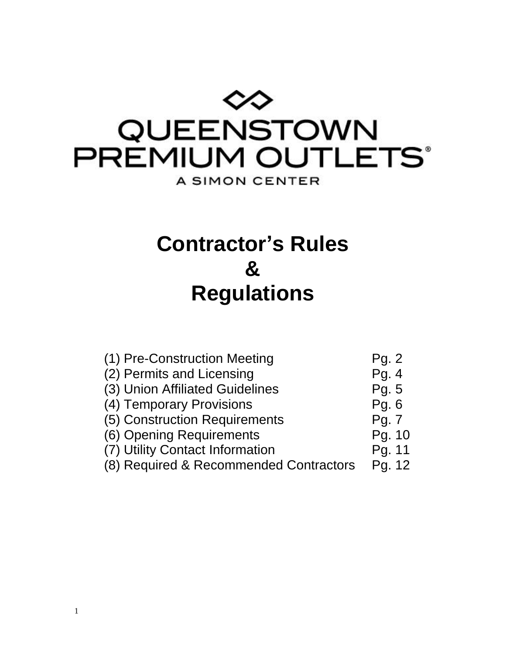

**Contractor's Rules & Regulations**

| (1) Pre-Construction Meeting           | Pg. 2   |
|----------------------------------------|---------|
| (2) Permits and Licensing              | Pg. 4   |
| (3) Union Affiliated Guidelines        | Pg. 5   |
| (4) Temporary Provisions               | Pg. $6$ |
| (5) Construction Requirements          | Pg. 7   |
| (6) Opening Requirements               | Pg. 10  |
| (7) Utility Contact Information        | Pg. 11  |
| (8) Required & Recommended Contractors | Pg. 12  |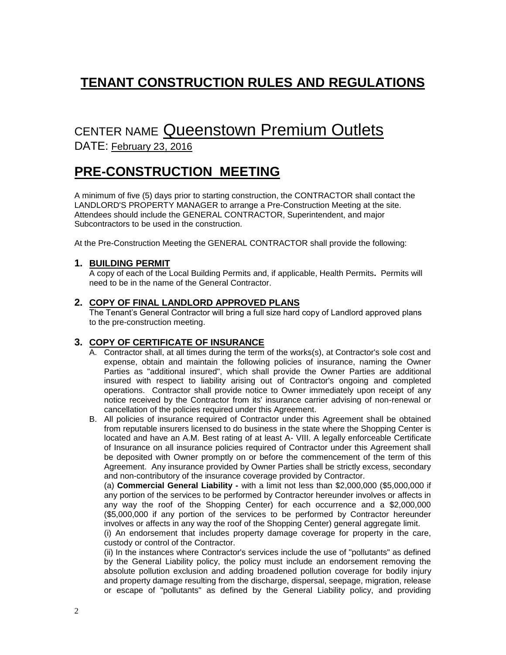# **TENANT CONSTRUCTION RULES AND REGULATIONS**

# CENTER NAME Queenstown Premium Outlets

DATE: February 23, 2016

# **PRE-CONSTRUCTION MEETING**

A minimum of five (5) days prior to starting construction, the CONTRACTOR shall contact the LANDLORD'S PROPERTY MANAGER to arrange a Pre-Construction Meeting at the site. Attendees should include the GENERAL CONTRACTOR, Superintendent, and major Subcontractors to be used in the construction.

At the Pre-Construction Meeting the GENERAL CONTRACTOR shall provide the following:

## **1. BUILDING PERMIT**

A copy of each of the Local Building Permits and, if applicable, Health Permits**.** Permits will need to be in the name of the General Contractor.

## **2. COPY OF FINAL LANDLORD APPROVED PLANS**

The Tenant's General Contractor will bring a full size hard copy of Landlord approved plans to the pre-construction meeting.

## **3. COPY OF CERTIFICATE OF INSURANCE**

- A. Contractor shall, at all times during the term of the works(s), at Contractor's sole cost and expense, obtain and maintain the following policies of insurance, naming the Owner Parties as "additional insured", which shall provide the Owner Parties are additional insured with respect to liability arising out of Contractor's ongoing and completed operations. Contractor shall provide notice to Owner immediately upon receipt of any notice received by the Contractor from its' insurance carrier advising of non-renewal or cancellation of the policies required under this Agreement.
- B. All policies of insurance required of Contractor under this Agreement shall be obtained from reputable insurers licensed to do business in the state where the Shopping Center is located and have an A.M. Best rating of at least A- VIII. A legally enforceable Certificate of Insurance on all insurance policies required of Contractor under this Agreement shall be deposited with Owner promptly on or before the commencement of the term of this Agreement. Any insurance provided by Owner Parties shall be strictly excess, secondary and non-contributory of the insurance coverage provided by Contractor.

(a) **Commercial General Liability -** with a limit not less than \$2,000,000 (\$5,000,000 if any portion of the services to be performed by Contractor hereunder involves or affects in any way the roof of the Shopping Center) for each occurrence and a \$2,000,000 (\$5,000,000 if any portion of the services to be performed by Contractor hereunder involves or affects in any way the roof of the Shopping Center) general aggregate limit.

(i) An endorsement that includes property damage coverage for property in the care, custody or control of the Contractor.

(ii) In the instances where Contractor's services include the use of "pollutants" as defined by the General Liability policy, the policy must include an endorsement removing the absolute pollution exclusion and adding broadened pollution coverage for bodily injury and property damage resulting from the discharge, dispersal, seepage, migration, release or escape of "pollutants" as defined by the General Liability policy, and providing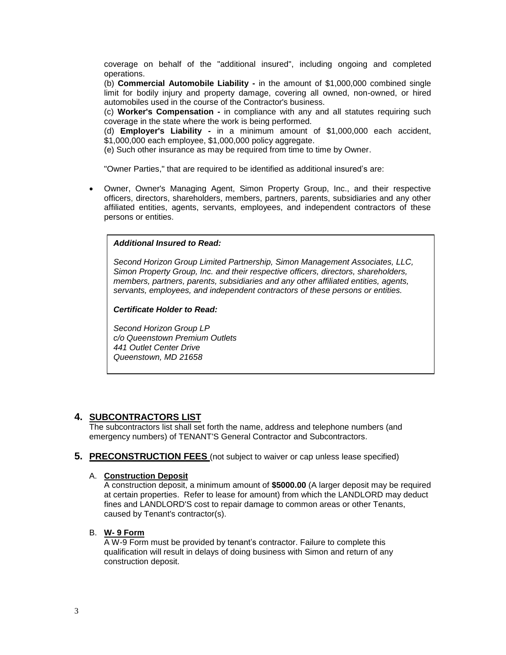coverage on behalf of the "additional insured", including ongoing and completed operations.

(b) **Commercial Automobile Liability -** in the amount of \$1,000,000 combined single limit for bodily injury and property damage, covering all owned, non-owned, or hired automobiles used in the course of the Contractor's business.

(c) **Worker's Compensation -** in compliance with any and all statutes requiring such coverage in the state where the work is being performed.

(d) **Employer's Liability -** in a minimum amount of \$1,000,000 each accident, \$1,000,000 each employee, \$1,000,000 policy aggregate.

(e) Such other insurance as may be required from time to time by Owner.

"Owner Parties," that are required to be identified as additional insured's are:

 Owner, Owner's Managing Agent, Simon Property Group, Inc., and their respective officers, directors, shareholders, members, partners, parents, subsidiaries and any other affiliated entities, agents, servants, employees, and independent contractors of these persons or entities.

## **INSERT INFORMATION** *Additional Insured to Read:*

*Second Horizon Group Limited Partnership, Simon Management Associates, LLC, Simon Property Group, Inc. and their respective officers, directors, shareholders, members, partners, parents, subsidiaries and any other affiliated entities, agents, servants, employees, and independent contractors of these persons or entities.*

*Certificate Holder to Read:*

*Second Horizon Group LP c/o Queenstown Premium Outlets 441 Outlet Center Drive Queenstown, MD 21658*

## **4. SUBCONTRACTORS LIST**

The subcontractors list shall set forth the name, address and telephone numbers (and emergency numbers) of TENANT'S General Contractor and Subcontractors.

#### **5. PRECONSTRUCTION FEES** (not subject to waiver or cap unless lease specified)

#### A. **Construction Deposit**

A construction deposit, a minimum amount of **\$5000.00** (A larger deposit may be required at certain properties. Refer to lease for amount) from which the LANDLORD may deduct fines and LANDLORD'S cost to repair damage to common areas or other Tenants, caused by Tenant's contractor(s).

#### B. **W- 9 Form**

A W-9 Form must be provided by tenant's contractor. Failure to complete this qualification will result in delays of doing business with Simon and return of any construction deposit.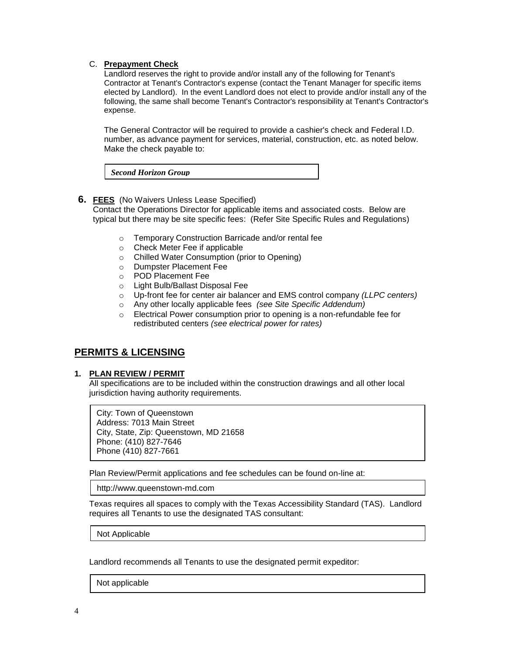#### C. **Prepayment Check**

Landlord reserves the right to provide and/or install any of the following for Tenant's Contractor at Tenant's Contractor's expense (contact the Tenant Manager for specific items elected by Landlord). In the event Landlord does not elect to provide and/or install any of the following, the same shall become Tenant's Contractor's responsibility at Tenant's Contractor's expense.

The General Contractor will be required to provide a cashier's check and Federal I.D. number, as advance payment for services, material, construction, etc. as noted below. Make the check payable to:

*Second Horizon Group*

## **6. FEES** (No Waivers Unless Lease Specified)

Contact the Operations Director for applicable items and associated costs. Below are typical but there may be site specific fees: (Refer Site Specific Rules and Regulations)

- o Temporary Construction Barricade and/or rental fee
- o Check Meter Fee if applicable
- o Chilled Water Consumption (prior to Opening)
- o Dumpster Placement Fee
- o POD Placement Fee
- o Light Bulb/Ballast Disposal Fee
- o Up-front fee for center air balancer and EMS control company *(LLPC centers)*
- o Any other locally applicable fees *(see Site Specific Addendum)*
- o Electrical Power consumption prior to opening is a non-refundable fee for redistributed centers *(see electrical power for rates)*

## **PERMITS & LICENSING**

#### **1. PLAN REVIEW / PERMIT**

All specifications are to be included within the construction drawings and all other local jurisdiction having authority requirements.

City: Town of Queenstown Address: 7013 Main Street City, State, Zip: Queenstown, MD 21658 Phone: (410) 827-7646 Phone (410) 827-7661

Plan Review/Permit applications and fee schedules can be found on-line at:

http://www.queenstown-md.com

Texas requires all spaces to comply with the Texas Accessibility Standard (TAS). Landlord requires all Tenants to use the designated TAS consultant:

Not Applicable

Landlord recommends all Tenants to use the designated permit expeditor:

Not applicable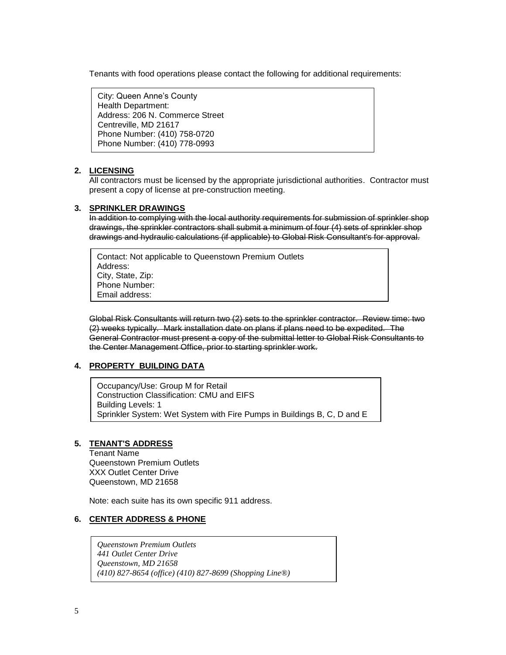Tenants with food operations please contact the following for additional requirements:

City: Queen Anne's County Health Department: Address: 206 N. Commerce Street Centreville, MD 21617 Phone Number: (410) 758-0720 Phone Number: (410) 778-0993

#### **2. LICENSING**

All contractors must be licensed by the appropriate jurisdictional authorities. Contractor must present a copy of license at pre-construction meeting.

#### **3. SPRINKLER DRAWINGS**

In addition to complying with the local authority requirements for submission of sprinkler shop drawings, the sprinkler contractors shall submit a minimum of four (4) sets of sprinkler shop drawings and hydraulic calculations (if applicable) to Global Risk Consultant's for approval.

Contact: Not applicable to Queenstown Premium Outlets Address: City, State, Zip: Phone Number: Email address:

Global Risk Consultants will return two (2) sets to the sprinkler contractor. Review time: two (2) weeks typically. Mark installation date on plans if plans need to be expedited. The General Contractor must present a copy of the submittal letter to Global Risk Consultants to the Center Management Office, prior to starting sprinkler work.

## **4. PROPERTY BUILDING DATA**

Occupancy/Use: Group M for Retail Construction Classification: CMU and EIFS Building Levels: 1 Sprinkler System: Wet System with Fire Pumps in Buildings B, C, D and E

#### **5. TENANT'S ADDRESS**

Tenant Name Queenstown Premium Outlets XXX Outlet Center Drive Queenstown, MD 21658

Note: each suite has its own specific 911 address.

#### **6. CENTER ADDRESS & PHONE**

*Queenstown Premium Outlets 441 Outlet Center Drive Queenstown, MD 21658 (410) 827-8654 (office) (410) 827-8699 (Shopping Line®)*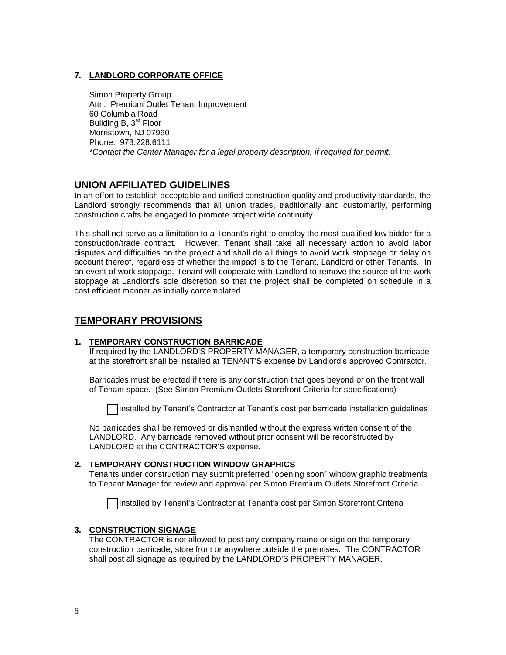## **7. LANDLORD CORPORATE OFFICE**

Simon Property Group Attn: Premium Outlet Tenant Improvement 60 Columbia Road Building B, 3<sup>rd</sup> Floor Morristown, NJ 07960 Phone: 973.228.6111 *\*Contact the Center Manager for a legal property description, if required for permit.*

## **UNION AFFILIATED GUIDELINES**

In an effort to establish acceptable and unified construction quality and productivity standards, the Landlord strongly recommends that all union trades, traditionally and customarily, performing construction crafts be engaged to promote project wide continuity.

This shall not serve as a limitation to a Tenant's right to employ the most qualified low bidder for a construction/trade contract. However, Tenant shall take all necessary action to avoid labor disputes and difficulties on the project and shall do all things to avoid work stoppage or delay on account thereof, regardless of whether the impact is to the Tenant, Landlord or other Tenants. In an event of work stoppage, Tenant will cooperate with Landlord to remove the source of the work stoppage at Landlord's sole discretion so that the project shall be completed on schedule in a cost efficient manner as initially contemplated.

## **TEMPORARY PROVISIONS**

## **1. TEMPORARY CONSTRUCTION BARRICADE**

If required by the LANDLORD'S PROPERTY MANAGER, a temporary construction barricade at the storefront shall be installed at TENANT'S expense by Landlord's approved Contractor.

Barricades must be erected if there is any construction that goes beyond or on the front wall of Tenant space. (See Simon Premium Outlets Storefront Criteria for specifications)

Installed by Tenant's Contractor at Tenant's cost per barricade installation guidelines

No barricades shall be removed or dismantled without the express written consent of the LANDLORD. Any barricade removed without prior consent will be reconstructed by LANDLORD at the CONTRACTOR'S expense.

## **2. TEMPORARY CONSTRUCTION WINDOW GRAPHICS**

Tenants under construction may submit preferred "opening soon" window graphic treatments to Tenant Manager for review and approval per Simon Premium Outlets Storefront Criteria.

Installed by Tenant's Contractor at Tenant's cost per Simon Storefront Criteria

## **3. CONSTRUCTION SIGNAGE**

The CONTRACTOR is not allowed to post any company name or sign on the temporary construction barricade, store front or anywhere outside the premises. The CONTRACTOR shall post all signage as required by the LANDLORD'S PROPERTY MANAGER.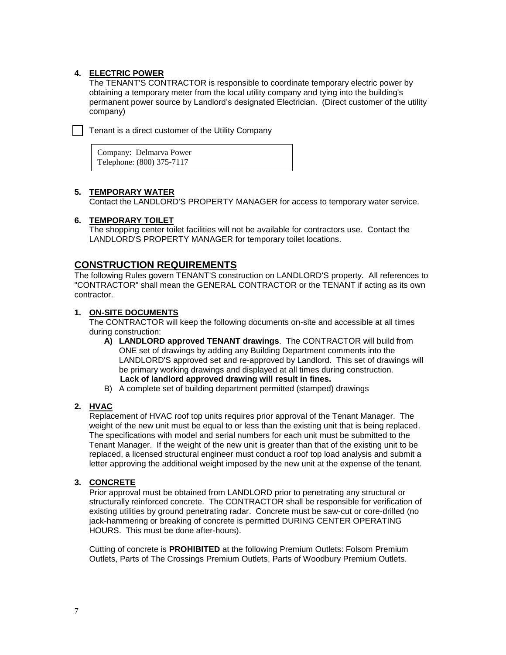## **4. ELECTRIC POWER**

The TENANT'S CONTRACTOR is responsible to coordinate temporary electric power by obtaining a temporary meter from the local utility company and tying into the building's permanent power source by Landlord's designated Electrician. (Direct customer of the utility company)

Tenant is a direct customer of the Utility Company

Company: Delmarva Power Telephone: (800) 375-7117

## **5. TEMPORARY WATER**

Contact the LANDLORD'S PROPERTY MANAGER for access to temporary water service.

## **6. TEMPORARY TOILET**

The shopping center toilet facilities will not be available for contractors use. Contact the LANDLORD'S PROPERTY MANAGER for temporary toilet locations.

## **CONSTRUCTION REQUIREMENTS**

The following Rules govern TENANT'S construction on LANDLORD'S property. All references to "CONTRACTOR" shall mean the GENERAL CONTRACTOR or the TENANT if acting as its own contractor.

## **1. ON-SITE DOCUMENTS**

The CONTRACTOR will keep the following documents on-site and accessible at all times during construction:

- **A) LANDLORD approved TENANT drawings**. The CONTRACTOR will build from ONE set of drawings by adding any Building Department comments into the LANDLORD'S approved set and re-approved by Landlord. This set of drawings will be primary working drawings and displayed at all times during construction.  **Lack of landlord approved drawing will result in fines.**
- B) A complete set of building department permitted (stamped) drawings

## **2. HVAC**

Replacement of HVAC roof top units requires prior approval of the Tenant Manager. The weight of the new unit must be equal to or less than the existing unit that is being replaced. The specifications with model and serial numbers for each unit must be submitted to the Tenant Manager. If the weight of the new unit is greater than that of the existing unit to be replaced, a licensed structural engineer must conduct a roof top load analysis and submit a letter approving the additional weight imposed by the new unit at the expense of the tenant.

## **3. CONCRETE**

Prior approval must be obtained from LANDLORD prior to penetrating any structural or structurally reinforced concrete. The CONTRACTOR shall be responsible for verification of existing utilities by ground penetrating radar. Concrete must be saw-cut or core-drilled (no jack-hammering or breaking of concrete is permitted DURING CENTER OPERATING HOURS. This must be done after-hours).

Cutting of concrete is **PROHIBITED** at the following Premium Outlets: Folsom Premium Outlets, Parts of The Crossings Premium Outlets, Parts of Woodbury Premium Outlets.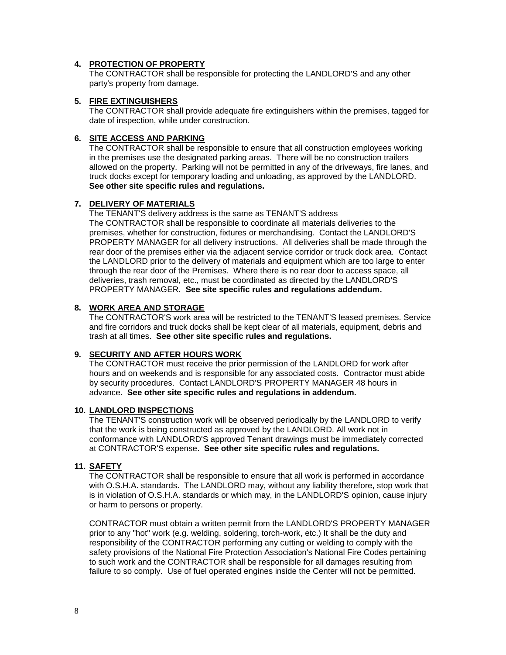#### **4. PROTECTION OF PROPERTY**

The CONTRACTOR shall be responsible for protecting the LANDLORD'S and any other party's property from damage.

#### **5. FIRE EXTINGUISHERS**

The CONTRACTOR shall provide adequate fire extinguishers within the premises, tagged for date of inspection, while under construction.

#### **6. SITE ACCESS AND PARKING**

The CONTRACTOR shall be responsible to ensure that all construction employees working in the premises use the designated parking areas. There will be no construction trailers allowed on the property. Parking will not be permitted in any of the driveways, fire lanes, and truck docks except for temporary loading and unloading, as approved by the LANDLORD. **See other site specific rules and regulations.**

## **7. DELIVERY OF MATERIALS**

The TENANT'S delivery address is the same as TENANT'S address The CONTRACTOR shall be responsible to coordinate all materials deliveries to the premises, whether for construction, fixtures or merchandising. Contact the LANDLORD'S PROPERTY MANAGER for all delivery instructions. All deliveries shall be made through the rear door of the premises either via the adjacent service corridor or truck dock area. Contact the LANDLORD prior to the delivery of materials and equipment which are too large to enter through the rear door of the Premises. Where there is no rear door to access space, all deliveries, trash removal, etc., must be coordinated as directed by the LANDLORD'S PROPERTY MANAGER. **See site specific rules and regulations addendum.**

## **8. WORK AREA AND STORAGE**

The CONTRACTOR'S work area will be restricted to the TENANT'S leased premises. Service and fire corridors and truck docks shall be kept clear of all materials, equipment, debris and trash at all times. **See other site specific rules and regulations.** 

#### **9. SECURITY AND AFTER HOURS WORK**

The CONTRACTOR must receive the prior permission of the LANDLORD for work after hours and on weekends and is responsible for any associated costs. Contractor must abide by security procedures. Contact LANDLORD'S PROPERTY MANAGER 48 hours in advance. **See other site specific rules and regulations in addendum.**

#### **10. LANDLORD INSPECTIONS**

The TENANT'S construction work will be observed periodically by the LANDLORD to verify that the work is being constructed as approved by the LANDLORD. All work not in conformance with LANDLORD'S approved Tenant drawings must be immediately corrected at CONTRACTOR'S expense. **See other site specific rules and regulations.**

## **11. SAFETY**

The CONTRACTOR shall be responsible to ensure that all work is performed in accordance with O.S.H.A. standards. The LANDLORD may, without any liability therefore, stop work that is in violation of O.S.H.A. standards or which may, in the LANDLORD'S opinion, cause injury or harm to persons or property.

CONTRACTOR must obtain a written permit from the LANDLORD'S PROPERTY MANAGER prior to any "hot" work (e.g. welding, soldering, torch-work, etc.) It shall be the duty and responsibility of the CONTRACTOR performing any cutting or welding to comply with the safety provisions of the National Fire Protection Association's National Fire Codes pertaining to such work and the CONTRACTOR shall be responsible for all damages resulting from failure to so comply. Use of fuel operated engines inside the Center will not be permitted.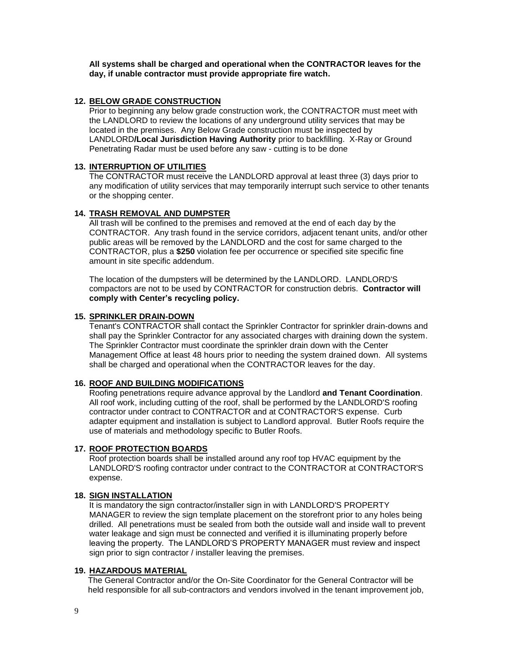**All systems shall be charged and operational when the CONTRACTOR leaves for the day, if unable contractor must provide appropriate fire watch.**

#### **12. BELOW GRADE CONSTRUCTION**

Prior to beginning any below grade construction work, the CONTRACTOR must meet with the LANDLORD to review the locations of any underground utility services that may be located in the premises. Any Below Grade construction must be inspected by LANDLORD**/Local Jurisdiction Having Authority** prior to backfilling. X-Ray or Ground Penetrating Radar must be used before any saw - cutting is to be done

#### **13. INTERRUPTION OF UTILITIES**

The CONTRACTOR must receive the LANDLORD approval at least three (3) days prior to any modification of utility services that may temporarily interrupt such service to other tenants or the shopping center.

#### **14. TRASH REMOVAL AND DUMPSTER**

All trash will be confined to the premises and removed at the end of each day by the CONTRACTOR. Any trash found in the service corridors, adjacent tenant units, and/or other public areas will be removed by the LANDLORD and the cost for same charged to the CONTRACTOR, plus a **\$250** violation fee per occurrence or specified site specific fine amount in site specific addendum.

The location of the dumpsters will be determined by the LANDLORD. LANDLORD'S compactors are not to be used by CONTRACTOR for construction debris. **Contractor will comply with Center's recycling policy.**

#### **15. SPRINKLER DRAIN-DOWN**

Tenant's CONTRACTOR shall contact the Sprinkler Contractor for sprinkler drain-downs and shall pay the Sprinkler Contractor for any associated charges with draining down the system. The Sprinkler Contractor must coordinate the sprinkler drain down with the Center Management Office at least 48 hours prior to needing the system drained down. All systems shall be charged and operational when the CONTRACTOR leaves for the day.

#### **16. ROOF AND BUILDING MODIFICATIONS**

Roofing penetrations require advance approval by the Landlord **and Tenant Coordination**. All roof work, including cutting of the roof, shall be performed by the LANDLORD'S roofing contractor under contract to CONTRACTOR and at CONTRACTOR'S expense. Curb adapter equipment and installation is subject to Landlord approval. Butler Roofs require the use of materials and methodology specific to Butler Roofs.

#### **17. ROOF PROTECTION BOARDS**

Roof protection boards shall be installed around any roof top HVAC equipment by the LANDLORD'S roofing contractor under contract to the CONTRACTOR at CONTRACTOR'S expense.

## **18. SIGN INSTALLATION**

It is mandatory the sign contractor/installer sign in with LANDLORD'S PROPERTY MANAGER to review the sign template placement on the storefront prior to any holes being drilled. All penetrations must be sealed from both the outside wall and inside wall to prevent water leakage and sign must be connected and verified it is illuminating properly before leaving the property. The LANDLORD'S PROPERTY MANAGER must review and inspect sign prior to sign contractor / installer leaving the premises.

#### **19. HAZARDOUS MATERIAL**

 The General Contractor and/or the On-Site Coordinator for the General Contractor will be held responsible for all sub-contractors and vendors involved in the tenant improvement job,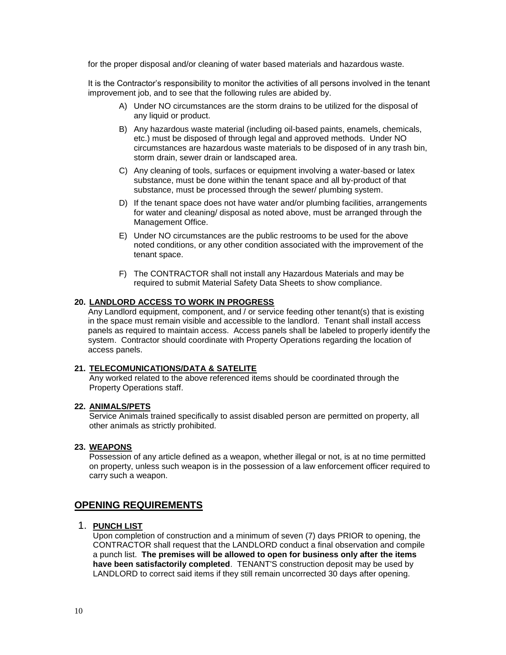for the proper disposal and/or cleaning of water based materials and hazardous waste.

 It is the Contractor's responsibility to monitor the activities of all persons involved in the tenant improvement job, and to see that the following rules are abided by.

- A) Under NO circumstances are the storm drains to be utilized for the disposal of any liquid or product.
- B) Any hazardous waste material (including oil-based paints, enamels, chemicals, etc.) must be disposed of through legal and approved methods. Under NO circumstances are hazardous waste materials to be disposed of in any trash bin, storm drain, sewer drain or landscaped area.
- C) Any cleaning of tools, surfaces or equipment involving a water-based or latex substance, must be done within the tenant space and all by-product of that substance, must be processed through the sewer/ plumbing system.
- D) If the tenant space does not have water and/or plumbing facilities, arrangements for water and cleaning/ disposal as noted above, must be arranged through the Management Office.
- E) Under NO circumstances are the public restrooms to be used for the above noted conditions, or any other condition associated with the improvement of the tenant space.
- F) The CONTRACTOR shall not install any Hazardous Materials and may be required to submit Material Safety Data Sheets to show compliance.

## **20. LANDLORD ACCESS TO WORK IN PROGRESS**

Any Landlord equipment, component, and / or service feeding other tenant(s) that is existing in the space must remain visible and accessible to the landlord. Tenant shall install access panels as required to maintain access. Access panels shall be labeled to properly identify the system. Contractor should coordinate with Property Operations regarding the location of access panels.

#### **21. TELECOMUNICATIONS/DATA & SATELITE**

Any worked related to the above referenced items should be coordinated through the Property Operations staff.

#### **22. ANIMALS/PETS**

Service Animals trained specifically to assist disabled person are permitted on property, all other animals as strictly prohibited.

#### **23. WEAPONS**

Possession of any article defined as a weapon, whether illegal or not, is at no time permitted on property, unless such weapon is in the possession of a law enforcement officer required to carry such a weapon.

## **OPENING REQUIREMENTS**

#### 1. **PUNCH LIST**

Upon completion of construction and a minimum of seven (7) days PRIOR to opening, the CONTRACTOR shall request that the LANDLORD conduct a final observation and compile a punch list. **The premises will be allowed to open for business only after the items have been satisfactorily completed**. TENANT'S construction deposit may be used by LANDLORD to correct said items if they still remain uncorrected 30 days after opening.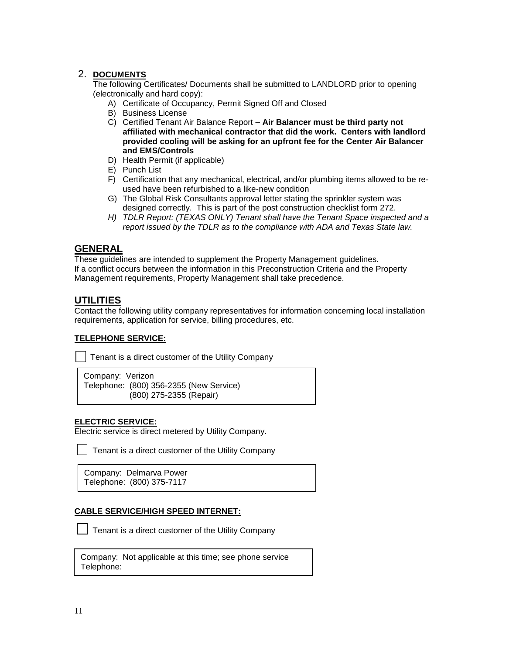## 2. **DOCUMENTS**

The following Certificates/ Documents shall be submitted to LANDLORD prior to opening (electronically and hard copy):

- A) Certificate of Occupancy, Permit Signed Off and Closed
- B) Business License
- C) Certified Tenant Air Balance Report **– Air Balancer must be third party not affiliated with mechanical contractor that did the work. Centers with landlord provided cooling will be asking for an upfront fee for the Center Air Balancer and EMS/Controls**
- D) Health Permit (if applicable)
- E) Punch List
- F) Certification that any mechanical, electrical, and/or plumbing items allowed to be reused have been refurbished to a like-new condition
- G) The Global Risk Consultants approval letter stating the sprinkler system was designed correctly. This is part of the post construction checklist form 272.
- *H) TDLR Report: (TEXAS ONLY) Tenant shall have the Tenant Space inspected and a report issued by the TDLR as to the compliance with ADA and Texas State law.*

## **GENERAL**

These guidelines are intended to supplement the Property Management guidelines. If a conflict occurs between the information in this Preconstruction Criteria and the Property Management requirements, Property Management shall take precedence.

## **UTILITIES**

Contact the following utility company representatives for information concerning local installation requirements, application for service, billing procedures, etc.

## **TELEPHONE SERVICE:**

Tenant is a direct customer of the Utility Company

Company: Verizon Telephone: (800) 356-2355 (New Service) (800) 275-2355 (Repair)

## **ELECTRIC SERVICE:**

Electric service is direct metered by Utility Company.

Tenant is a direct customer of the Utility Company

Company: Delmarva Power Telephone: (800) 375-7117

## **CABLE SERVICE/HIGH SPEED INTERNET:**

Tenant is a direct customer of the Utility Company

|            | Company: Not applicable at this time; see phone service |  |  |  |
|------------|---------------------------------------------------------|--|--|--|
| Telephone: |                                                         |  |  |  |